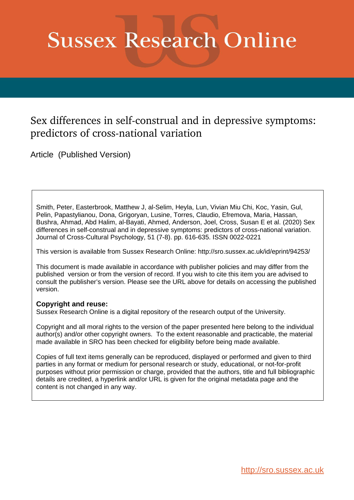# **Sussex Research Online**

# Sex differences in self-construal and in depressive symptoms: predictors of cross-national variation

Article (Published Version)

Smith, Peter, Easterbrook, Matthew J, al-Selim, Heyla, Lun, Vivian Miu Chi, Koc, Yasin, Gul, Pelin, Papastylianou, Dona, Grigoryan, Lusine, Torres, Claudio, Efremova, Maria, Hassan, Bushra, Ahmad, Abd Halim, al-Bayati, Ahmed, Anderson, Joel, Cross, Susan E et al. (2020) Sex differences in self-construal and in depressive symptoms: predictors of cross-national variation. Journal of Cross-Cultural Psychology, 51 (7-8). pp. 616-635. ISSN 0022-0221

This version is available from Sussex Research Online: http://sro.sussex.ac.uk/id/eprint/94253/

This document is made available in accordance with publisher policies and may differ from the published version or from the version of record. If you wish to cite this item you are advised to consult the publisher's version. Please see the URL above for details on accessing the published version.

# **Copyright and reuse:**

Sussex Research Online is a digital repository of the research output of the University.

Copyright and all moral rights to the version of the paper presented here belong to the individual author(s) and/or other copyright owners. To the extent reasonable and practicable, the material made available in SRO has been checked for eligibility before being made available.

Copies of full text items generally can be reproduced, displayed or performed and given to third parties in any format or medium for personal research or study, educational, or not-for-profit purposes without prior permission or charge, provided that the authors, title and full bibliographic details are credited, a hyperlink and/or URL is given for the original metadata page and the content is not changed in any way.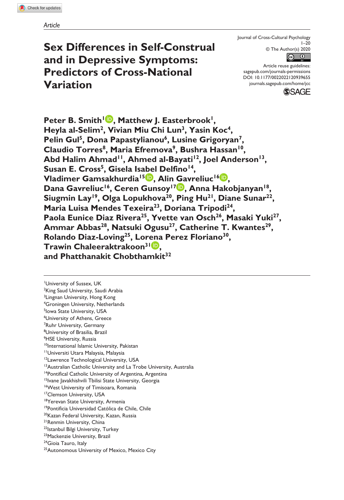# **Sex Differences in Self-Construal and in Depressive Symptoms: Predictors of Cross-National Variation**

Journal of Cross-Cultural Psychology  $1 - 20$ © The Author(s) 2020



DOI: 10.1177/0022022120939655 Article reuse guidelines: [sagepub.com/journals-permissions](https://us.sagepub.com/en-us/journals-permissions) [journals.sagepub.com/home/jcc](https://journals.sagepub.com/home/jcc)



Peter B. Smith<sup>1</sup><sup>.</sup>, Matthew J. Easterbrook<sup>1</sup>, Heyla al-Selim<sup>2</sup>, Vivian Miu Chi Lun<sup>3</sup>, Yasin Koc<sup>4</sup>, Pelin Gul<sup>5</sup>, Dona Papastylianou<sup>6</sup>, Lusine Grigoryan<sup>7</sup> Claudio Torres<sup>8</sup>, Maria Efremova<sup>9</sup>, Bushra Hassan<sup>10</sup>, Abd Halim Ahmad<sup>11</sup>, Ahmed al-Bayati<sup>12</sup>, Joel Anderson<sup>13</sup>, Susan E. Cross<sup>5</sup>, Gisela Isabel Delfino<sup>14</sup>, **Vladimer Gamsakhurdia15 , Alin Gavreliuc16 ,**  Dana Gavreliuc<sup>16</sup>, Ceren Gunsoy<sup>17</sup> **, Anna Hakobjanyan<sup>18</sup>** Siugmin Lay<sup>19</sup>, Olga Lopukhova<sup>20</sup>, Ping Hu<sup>21</sup>, Diane Sunar<sup>22</sup>, Maria Luisa Mendes Texeira<sup>23</sup>, Doriana Tripodi<sup>24</sup>, Paola Eunice Diaz Rivera<sup>25</sup>, Yvette van Osch<sup>26</sup>, Masaki Yuki<sup>27</sup>, Ammar Abbas<sup>28</sup>, Natsuki Ogusu<sup>27</sup>, Catherine T. Kwantes<sup>29</sup>, **Rolando Diaz-Loving25, Lorena Perez Floriano30, Trawin Chaleeraktrakoon31 , and Phatthanakit Chobthamkit32**

1 University of Sussex, UK <sup>2</sup>King Saud University, Saudi Arabia <sup>3</sup>Lingnan University, Hong Kong 4 Groningen University, Netherlands 5 Iowa State University, USA 6 University of Athens, Greece 7 Ruhr University, Germany 8 University of Brasilia, Brazil <sup>9</sup>HSE University, Russia 10International Islamic University, Pakistan 11Universiti Utara Malaysia, Malaysia 12Lawrence Technological University, USA <sup>13</sup> Australian Catholic University and La Trobe University, Australia <sup>14</sup>Pontifical Catholic University of Argentina, Argentina <sup>15</sup>Ivane Javakhishvili Tbilisi State University, Georgia 16West University of Timisoara, Romania <sup>17</sup>Clemson University, USA <sup>18</sup>Yerevan State University, Armenia 19Pontificia Universidad Católica de Chile, Chile <sup>20</sup>Kazan Federal University, Kazan, Russia 21Renmin University, China 22Istanbul Bilgi University, Turkey 23Mackenzie University, Brazil <sup>24</sup>Gioia Tauro, Italy <sup>25</sup> Autonomous University of Mexico, Mexico City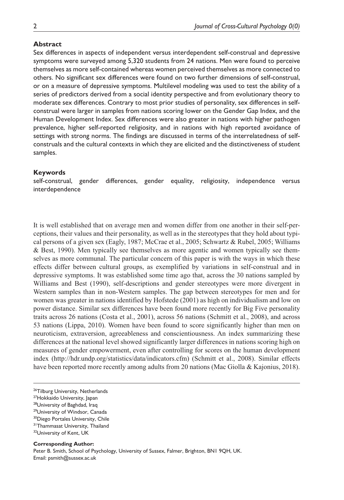#### **Abstract**

Sex differences in aspects of independent versus interdependent self-construal and depressive symptoms were surveyed among 5,320 students from 24 nations. Men were found to perceive themselves as more self-contained whereas women perceived themselves as more connected to others. No significant sex differences were found on two further dimensions of self-construal, or on a measure of depressive symptoms. Multilevel modeling was used to test the ability of a series of predictors derived from a social identity perspective and from evolutionary theory to moderate sex differences. Contrary to most prior studies of personality, sex differences in selfconstrual were larger in samples from nations scoring lower on the Gender Gap Index, and the Human Development Index. Sex differences were also greater in nations with higher pathogen prevalence, higher self-reported religiosity, and in nations with high reported avoidance of settings with strong norms. The findings are discussed in terms of the interrelatedness of selfconstruals and the cultural contexts in which they are elicited and the distinctiveness of student samples.

#### **Keywords**

self-construal, gender differences, gender equality, religiosity, independence versus interdependence

It is well established that on average men and women differ from one another in their self-perceptions, their values and their personality, as well as in the stereotypes that they hold about typical persons of a given sex (Eagly, 1987; McCrae et al., 2005; Schwartz & Rubel, 2005; Williams & Best, 1990). Men typically see themselves as more agentic and women typically see themselves as more communal. The particular concern of this paper is with the ways in which these effects differ between cultural groups, as exemplified by variations in self-construal and in depressive symptoms. It was established some time ago that, across the 30 nations sampled by Williams and Best (1990), self-descriptions and gender stereotypes were more divergent in Western samples than in non-Western samples. The gap between stereotypes for men and for women was greater in nations identified by Hofstede (2001) as high on individualism and low on power distance. Similar sex differences have been found more recently for Big Five personality traits across 26 nations (Costa et al., 2001), across 56 nations (Schmitt et al., 2008), and across 53 nations (Lippa, 2010). Women have been found to score significantly higher than men on neuroticism, extraversion, agreeableness and conscientiousness. An index summarizing these differences at the national level showed significantly larger differences in nations scoring high on measures of gender empowerment, even after controlling for scores on the human development index (<http://hdr.undp.org/statistics/data/indicators.cfm>) (Schmitt et al., 2008). Similar effects have been reported more recently among adults from 20 nations (Mac Giolla & Kajonius, 2018).

- 29University of Windsor, Canada
- 30Diego Portales University, Chile

# **Corresponding Author:**

Peter B. Smith, School of Psychology, University of Sussex, Falmer, Brighton, BN1 9QH, UK. Email: [psmith@sussex.ac.uk](mailto:psmith@sussex.ac.uk)

<sup>&</sup>lt;sup>26</sup>Tilburg University, Netherlands

<sup>27</sup> Hokkaido University, Japan

<sup>&</sup>lt;sup>28</sup>University of Baghdad, Iraq

<sup>&</sup>lt;sup>31</sup>Thammasat University, Thailand

<sup>&</sup>lt;sup>32</sup>University of Kent, UK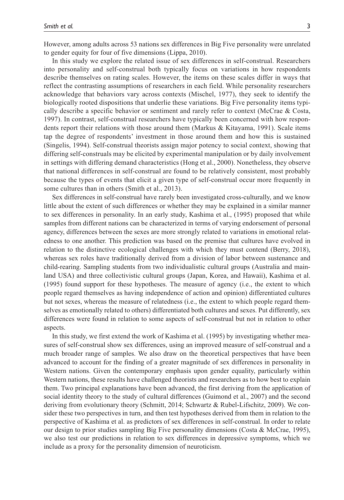However, among adults across 53 nations sex differences in Big Five personality were unrelated to gender equity for four of five dimensions (Lippa, 2010).

In this study we explore the related issue of sex differences in self-construal. Researchers into personality and self-construal both typically focus on variations in how respondents describe themselves on rating scales. However, the items on these scales differ in ways that reflect the contrasting assumptions of researchers in each field. While personality researchers acknowledge that behaviors vary across contexts (Mischel, 1977), they seek to identify the biologically rooted dispositions that underlie these variations. Big Five personality items typically describe a specific behavior or sentiment and rarely refer to context (McCrae & Costa, 1997). In contrast, self-construal researchers have typically been concerned with how respondents report their relations with those around them (Markus & Kitayama, 1991). Scale items tap the degree of respondents' investment in those around them and how this is sustained (Singelis, 1994). Self-construal theorists assign major potency to social context, showing that differing self-construals may be elicited by experimental manipulation or by daily involvement in settings with differing demand characteristics (Hong et al., 2000). Nonetheless, they observe that national differences in self-construal are found to be relatively consistent, most probably because the types of events that elicit a given type of self-construal occur more frequently in some cultures than in others (Smith et al., 2013).

Sex differences in self-construal have rarely been investigated cross-culturally, and we know little about the extent of such differences or whether they may be explained in a similar manner to sex differences in personality. In an early study, Kashima et al., (1995) proposed that while samples from different nations can be characterized in terms of varying endorsement of personal agency, differences between the sexes are more strongly related to variations in emotional relatedness to one another. This prediction was based on the premise that cultures have evolved in relation to the distinctive ecological challenges with which they must contend (Berry, 2018), whereas sex roles have traditionally derived from a division of labor between sustenance and child-rearing. Sampling students from two individualistic cultural groups (Australia and mainland USA) and three collectivistic cultural groups (Japan, Korea, and Hawaii), Kashima et al. (1995) found support for these hypotheses. The measure of agency (i.e., the extent to which people regard themselves as having independence of action and opinion) differentiated cultures but not sexes, whereas the measure of relatedness (i.e., the extent to which people regard themselves as emotionally related to others) differentiated both cultures and sexes. Put differently, sex differences were found in relation to some aspects of self-construal but not in relation to other aspects.

In this study, we first extend the work of Kashima et al. (1995) by investigating whether measures of self-construal show sex differences, using an improved measure of self-construal and a much broader range of samples. We also draw on the theoretical perspectives that have been advanced to account for the finding of a greater magnitude of sex differences in personality in Western nations. Given the contemporary emphasis upon gender equality, particularly within Western nations, these results have challenged theorists and researchers as to how best to explain them. Two principal explanations have been advanced, the first deriving from the application of social identity theory to the study of cultural differences (Guimond et al., 2007) and the second deriving from evolutionary theory (Schmitt, 2014; Schwartz & Rubel-Lifschitz, 2009). We consider these two perspectives in turn, and then test hypotheses derived from them in relation to the perspective of Kashima et al. as predictors of sex differences in self-construal. In order to relate our design to prior studies sampling Big Five personality dimensions (Costa & McCrae, 1995), we also test our predictions in relation to sex differences in depressive symptoms, which we include as a proxy for the personality dimension of neuroticism.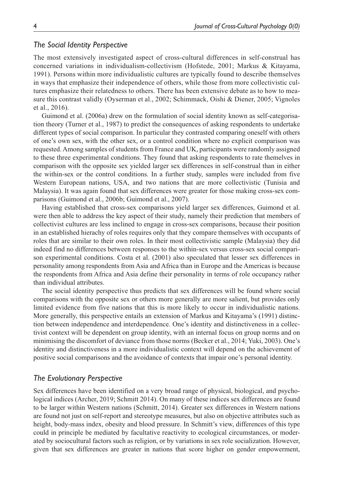#### *The Social Identity Perspective*

The most extensively investigated aspect of cross-cultural differences in self-construal has concerned variations in individualism-collectivism (Hofstede, 2001; Markus & Kitayama, 1991). Persons within more individualistic cultures are typically found to describe themselves in ways that emphasize their independence of others, while those from more collectivistic cultures emphasize their relatedness to others. There has been extensive debate as to how to measure this contrast validly (Oyserman et al., 2002; Schimmack, Oishi & Diener, 2005; Vignoles et al., 2016).

Guimond et al. (2006a) drew on the formulation of social identity known as self-categorisation theory (Turner et al., 1987) to predict the consequences of asking respondents to undertake different types of social comparison. In particular they contrasted comparing oneself with others of one's own sex, with the other sex, or a control condition where no explicit comparison was requested. Among samples of students from France and UK, participants were randomly assigned to these three experimental conditions. They found that asking respondents to rate themelves in comparison with the opposite sex yielded larger sex differences in self-construal than in either the within-sex or the control conditions. In a further study, samples were included from five Western European nations, USA, and two nations that are more collectivistic (Tunisia and Malaysia). It was again found that sex differences were greater for those making cross-sex comparisons (Guimond et al., 2006b; Guimond et al., 2007).

Having established that cross-sex comparisons yield larger sex differences, Guimond et al. were then able to address the key aspect of their study, namely their prediction that members of collectivist cultures are less inclined to engage in cross-sex comparisons, because their position in an established hierachy of roles requires only that they compare themselves with occupants of roles that are similar to their own roles. In their most collectivistic sample (Malaysia) they did indeed find no differences between responses to the within-sex versus cross-sex social comparison experimental conditions. Costa et al. (2001) also speculated that lesser sex differences in personality among respondents from Asia and Africa than in Europe and the Americas is because the respondents from Africa and Asia define their personality in terms of role occupancy rather than individual attributes.

The social identity perspective thus predicts that sex differences will be found where social comparisons with the opposite sex or others more generally are more salient, but provides only limited evidence from five nations that this is more likely to occur in individualistic nations. More generally, this perspective entails an extension of Markus and Kitayama's (1991) distinction between independence and interdependence. One's identity and distinctiveness in a collectivist context will be dependent on group identity, with an internal focus on group norms and on minimising the discomfort of deviance from those norms (Becker et al., 2014; Yuki, 2003). One's identity and distinctiveness in a more individualistic context will depend on the achievement of positive social comparisons and the avoidance of contexts that impair one's personal identity.

#### *The Evolutionary Perspective*

Sex differences have been identified on a very broad range of physical, biological, and psychological indices (Archer, 2019; Schmitt 2014). On many of these indices sex differences are found to be larger within Western nations (Schmitt, 2014). Greater sex differences in Western nations are found not just on self-report and stereotype measures, but also on objective attributes such as height, body-mass index, obesity and blood pressure. In Schmitt's view, differences of this type could in principle be mediated by facultative reactivity to ecological circumstances, or moderated by sociocultural factors such as religion, or by variations in sex role socialization. However, given that sex differences are greater in nations that score higher on gender empowerment,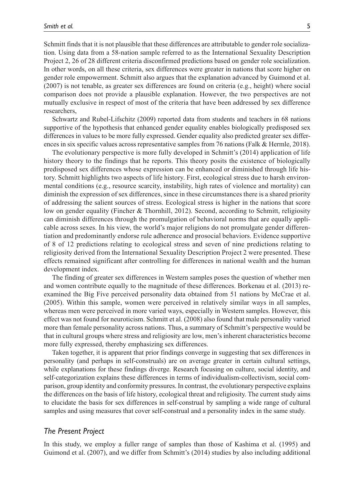Schmitt finds that it is not plausible that these differences are attributable to gender role socialization. Using data from a 58-nation sample referred to as the International Sexuality Description Project 2, 26 of 28 different criteria disconfirmed predictions based on gender role socialization. In other words, on all these criteria, sex differences were greater in nations that score higher on gender role empowerment. Schmitt also argues that the explanation advanced by Guimond et al. (2007) is not tenable, as greater sex differences are found on criteria (e.g., height) where social comparison does not provide a plausible explanation. However, the two perspectives are not mutually exclusive in respect of most of the criteria that have been addressed by sex difference researchers,

Schwartz and Rubel-Lifschitz (2009) reported data from students and teachers in 68 nations supportive of the hypothesis that enhanced gender equality enables biologically predisposed sex differences in values to be more fully expressed. Gender equality also predicted greater sex differences in six specific values across representative samples from 76 nations (Falk & Hermle, 2018).

The evolutionary perspective is more fully developed in Schmitt's (2014) application of life history theory to the findings that he reports. This theory posits the existence of biologically predisposed sex differences whose expression can be enhanced or diminished through life history. Schmitt highlights two aspects of life history. First, ecological stress due to harsh environmental conditions (e.g., resource scarcity, instability, high rates of violence and mortality) can diminish the expression of sex differences, since in these circumstances there is a shared priority of addressing the salient sources of stress. Ecological stress is higher in the nations that score low on gender equality (Fincher & Thornhill, 2012). Second, according to Schmitt, religiosity can diminish differences through the promulgation of behavioral norms that are equally applicable across sexes. In his view, the world's major religions do not promulgate gender differentiation and predominantly endorse rule adherence and prosocial behaviors. Evidence supportive of 8 of 12 predictions relating to ecological stress and seven of nine predictions relating to religiosity derived from the International Sexuality Description Project 2 were presented. These effects remained significant after controlling for differences in national wealth and the human development index.

The finding of greater sex differences in Western samples poses the question of whether men and women contribute equally to the magnitude of these differences. Borkenau et al. (2013) reexamined the Big Five perceived personality data obtained from 51 nations by McCrae et al. (2005). Within this sample, women were perceived in relatively similar ways in all samples, whereas men were perceived in more varied ways, especially in Western samples. However, this effect was not found for neuroticism. Schmitt et al. (2008) also found that male personality varied more than female personality across nations. Thus, a summary of Schmitt's perspective would be that in cultural groups where stress and religiosity are low, men's inherent characteristics become more fully expressed, thereby emphasizing sex differences.

Taken together, it is apparent that prior findings converge in suggesting that sex differences in personality (and perhaps in self-construals) are on average greater in certain cultural settings, while explanations for these findings diverge. Research focusing on culture, social identity, and self-categorization explains these differences in terms of individualism-collectivism, social comparison, group identity and conformity pressures. In contrast, the evolutionary perspective explains the differences on the basis of life history, ecological threat and religiosity. The current study aims to elucidate the basis for sex differences in self-construal by sampling a wide range of cultural samples and using measures that cover self-construal and a personality index in the same study.

#### *The Present Project*

In this study, we employ a fuller range of samples than those of Kashima et al. (1995) and Guimond et al. (2007), and we differ from Schmitt's (2014) studies by also including additional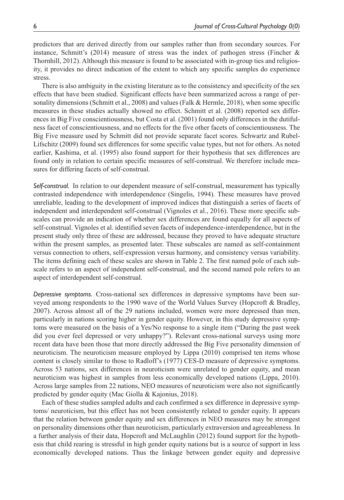predictors that are derived directly from our samples rather than from secondary sources. For instance, Schmitt's (2014) measure of stress was the index of pathogen stress (Fincher & Thornhill, 2012). Although this measure is found to be associated with in-group ties and religiosity, it provides no direct indication of the extent to which any specific samples do experience stress.

There is also ambiguity in the existing literature as to the consistency and specificity of the sex effects that have been studied. Significant effects have been summarized across a range of personality dimensions (Schmitt et al., 2008) and values (Falk & Hermle, 2018), when some specific measures in these studies actually showed no effect. Schmitt et al. (2008) reported sex differences in Big Five conscientiousness, but Costa et al. (2001) found only differences in the dutifulness facet of conscientiousness, and no effects for the five other facets of conscientiousness. The Big Five measure used by Schmitt did not provide separate facet scores. Schwartz and Rubel-Lifschitz (2009) found sex differences for some specific value types, but not for others. As noted earlier, Kashima, et al. (1995) also found support for their hypothesis that sex differences are found only in relation to certain specific measures of self-construal. We therefore include measures for differing facets of self-construal.

*Self-construal.* In relation to our dependent measure of self-construal, measurement has typically contrasted independence with interdependence (Singelis, 1994). These measures have proved unreliable, leading to the development of improved indices that distinguish a series of facets of independent and interdependent self-construal (Vignoles et al., 2016). These more specific subscales can provide an indication of whether sex differences are found equally for all aspects of self-construal. Vignoles et al. identified seven facets of independence-interdependence, but in the present study only three of these are addressed, because they proved to have adequate structure within the present samples, as presented later. These subscales are named as self-containment versus connection to others, self-expression versus harmony, and consistency versus variability. The items defining each of these scales are shown in Table 2. The first named pole of each subscale refers to an aspect of independent self-construal, and the second named pole refers to an aspect of interdependent self-construal.

*Depressive symptoms.* Cross-national sex differences in depressive symptoms have been surveyed among respondents to the 1990 wave of the World Values Survey (Hopcroft & Bradley, 2007). Across almost all of the 29 nations included, women were more depressed than men, particularly in nations scoring higher in gender equity. However, in this study depressive symptoms were measured on the basis of a Yes/No response to a single item ("During the past week did you ever feel depressed or very unhappy?"). Relevant cross-national surveys using more recent data have been those that more directly addressed the Big Five personality dimension of neuroticism. The neuroticism measure employed by Lippa (2010) comprised ten items whose content is closely similar to those to Radloff's (1977) CES-D measure of depressive symptoms. Across 53 nations, sex differences in neuroticism were unrelated to gender equity, and mean neuroticism was highest in samples from less economically developed nations (Lippa, 2010). Across large samples from 22 nations, NEO measures of neuroticism were also not significantly predicted by gender equity (Mac Giolla & Kajonius, 2018).

Each of these studies sampled adults and each confirmed a sex difference in depressive symptoms/ neuroticism, but this effect has not been consistently related to gender equity. It appears that the relation between gender equity and sex differences in NEO measures may be strongest on personality dimensions other than neuroticism, particularly extraversion and agreeableness. In a further analysis of their data, Hopcroft and McLaughlin (2012) found support for the hypothesis that child rearing is stressful in high gender equity nations but is a source of support in less economically developed nations. Thus the linkage between gender equity and depressive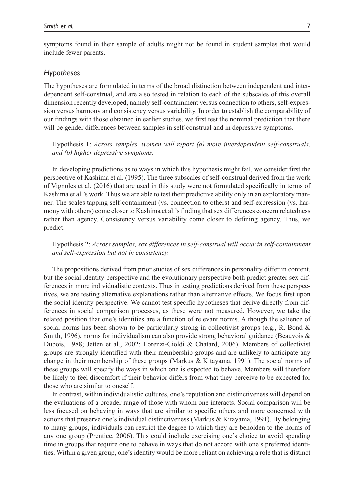symptoms found in their sample of adults might not be found in student samples that would include fewer parents.

#### *Hypotheses*

The hypotheses are formulated in terms of the broad distinction between independent and interdependent self-construal, and are also tested in relation to each of the subscales of this overall dimension recently developed, namely self-containment versus connection to others, self-expression versus harmony and consistency versus variability. In order to establish the comparability of our findings with those obtained in earlier studies, we first test the nominal prediction that there will be gender differences between samples in self-construal and in depressive symptoms.

Hypothesis 1: *Across samples, women will report (a) more interdependent self-construals, and (b) higher depressive symptoms.*

In developing predictions as to ways in which this hypothesis might fail, we consider first the perspective of Kashima et al. (1995). The three subscales of self-construal derived from the work of Vignoles et al. (2016) that are used in this study were not formulated specifically in terms of Kashima et al.'s work. Thus we are able to test their predictive ability only in an exploratory manner. The scales tapping self-containment (vs. connection to others) and self-expression (vs. harmony with others) come closer to Kashima et al.'s finding that sex differences concern relatedness rather than agency. Consistency versus variability come closer to defining agency. Thus, we predict:

#### Hypothesis 2: *Across samples, sex differences in self-construal will occur in self-containment and self-expression but not in consistency.*

The propositions derived from prior studies of sex differences in personality differ in content, but the social identity perspective and the evolutionary perspective both predict greater sex differences in more individualistic contexts. Thus in testing predictions derived from these perspectives, we are testing alternative explanations rather than alternative effects. We focus first upon the social identity perspective. We cannot test specific hypotheses that derive directly from differences in social comparison processes, as these were not measured. However, we take the related position that one's identities are a function of relevant norms. Although the salience of social norms has been shown to be particularly strong in collectivist groups (e.g., R. Bond  $\&$ Smith, 1996), norms for individualism can also provide strong behavioral guidance (Beauvois & Dubois, 1988; Jetten et al., 2002; Lorenzi-Cioldi & Chatard, 2006). Members of collectivist groups are strongly identified with their membership groups and are unlikely to anticipate any change in their membership of these groups (Markus & Kitayama, 1991). The social norms of these groups will specify the ways in which one is expected to behave. Members will therefore be likely to feel discomfort if their behavior differs from what they perceive to be expected for those who are similar to oneself.

In contrast, within individualistic cultures, one's reputation and distinctiveness will depend on the evaluations of a broader range of those with whom one interacts. Social comparison will be less focused on behaving in ways that are similar to specific others and more concerned with actions that preserve one's individual distinctiveness (Markus & Kitayama, 1991). By belonging to many groups, individuals can restrict the degree to which they are beholden to the norms of any one group (Prentice, 2006). This could include exercising one's choice to avoid spending time in groups that require one to behave in ways that do not accord with one's preferred identities. Within a given group, one's identity would be more reliant on achieving a role that is distinct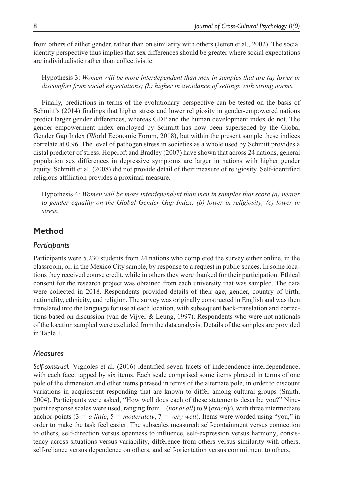from others of either gender, rather than on similarity with others (Jetten et al., 2002). The social identity perspective thus implies that sex differences should be greater where social expectations are individualistic rather than collectivistic.

Hypothesis 3: *Women will be more interdependent than men in samples that are (a) lower in discomfort from social expectations; (b) higher in avoidance of settings with strong norms.*

Finally, predictions in terms of the evolutionary perspective can be tested on the basis of Schmitt's (2014) findings that higher stress and lower religiosity in gender-empowered nations predict larger gender differences, whereas GDP and the human development index do not. The gender empowerment index employed by Schmitt has now been superseded by the Global Gender Gap Index (World Economic Forum, 2018), but within the present sample these indices correlate at 0.96. The level of pathogen stress in societies as a whole used by Schmitt provides a distal predictor of stress. Hopcroft and Bradley (2007) have shown that across 24 nations, general population sex differences in depressive symptoms are larger in nations with higher gender equity. Schmitt et al. (2008) did not provide detail of their measure of religiosity. Self-identified religious affiliation provides a proximal measure.

Hypothesis 4: *Women will be more interdependent than men in samples that score (a) nearer to gender equality on the Global Gender Gap Index; (b) lower in religiosity; (c) lower in stress.*

# **Method**

#### *Participants*

Participants were 5,230 students from 24 nations who completed the survey either online, in the classroom, or, in the Mexico City sample, by response to a request in public spaces. In some locations they received course credit, while in others they were thanked for their participation. Ethical consent for the research project was obtained from each university that was sampled. The data were collected in 2018. Respondents provided details of their age, gender, country of birth, nationality, ethnicity, and religion. The survey was originally constructed in English and was then translated into the language for use at each location, with subsequent back-translation and corrections based on discussion (van de Vijver & Leung, 1997). Respondents who were not nationals of the location sampled were excluded from the data analysis. Details of the samples are provided in Table 1.

# *Measures*

*Self-construal.* Vignoles et al. (2016) identified seven facets of independence-interdependence, with each facet tapped by six items. Each scale comprised some items phrased in terms of one pole of the dimension and other items phrased in terms of the alternate pole, in order to discount variations in acquiescent responding that are known to differ among cultural groups (Smith, 2004). Participants were asked, "How well does each of these statements describe you?" Ninepoint response scales were used, ranging from 1 (*not at all*) to 9 (*exactly*), with three intermediate anchor-points  $(3 = a$  *little*,  $5 = moderately, 7 = very well)$ . Items were worded using "you," in order to make the task feel easier. The subscales measured: self-containment versus connection to others, self-direction versus openness to influence, self-expression versus harmony, consistency across situations versus variability, difference from others versus similarity with others, self-reliance versus dependence on others, and self-orientation versus commitment to others.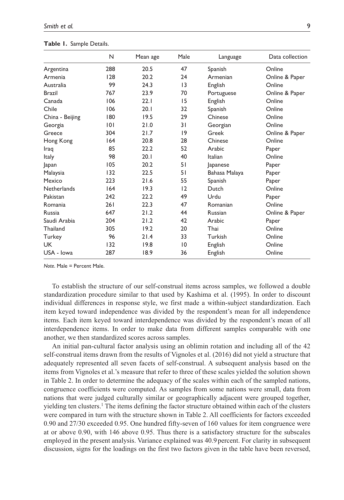| Smith et al. |  |
|--------------|--|
|--------------|--|

|                    | N   | Mean age | Male | Language      | Data collection |
|--------------------|-----|----------|------|---------------|-----------------|
| Argentina          | 288 | 20.5     | 47   | Spanish       | Online          |
| Armenia            | 128 | 20.2     | 24   | Armenian      | Online & Paper  |
| Australia          | 99  | 24.3     | 13   | English       | Online          |
| <b>Brazil</b>      | 767 | 23.9     | 70   | Portuguese    | Online & Paper  |
| Canada             | 106 | 22.1     | 15   | English       | Online          |
| Chile              | 106 | 20.1     | 32   | Spanish       | Online          |
| China - Beijing    | 180 | 19.5     | 29   | Chinese       | Online          |
| Georgia            | 101 | 21.0     | 31   | Georgian      | Online          |
| Greece             | 304 | 21.7     | 9    | Greek         | Online & Paper  |
| Hong Kong          | 164 | 20.8     | 28   | Chinese       | Online          |
| Iraq               | 85  | 22.2     | 52   | Arabic        | Paper           |
| Italy              | 98  | 20.1     | 40   | Italian       | Online          |
| Japan              | 105 | 20.2     | 51   | Japanese      | Paper           |
| Malaysia           | 132 | 22.5     | 51   | Bahasa Malaya | Paper           |
| Mexico             | 223 | 21.6     | 55   | Spanish       | Paper           |
| <b>Netherlands</b> | 164 | 19.3     | 12   | Dutch         | Online          |
| Pakistan           | 242 | 22.2     | 49   | Urdu          | Paper           |
| Romania            | 261 | 22.3     | 47   | Romanian      | Online          |
| Russia             | 647 | 21.2     | 44   | Russian       | Online & Paper  |
| Saudi Arabia       | 204 | 21.2     | 42   | Arabic        | Paper           |
| Thailand           | 305 | 19.2     | 20   | Thai          | Online          |
| Turkey             | 96  | 21.4     | 33   | Turkish       | Online          |
| <b>UK</b>          | 132 | 19.8     | 10   | English       | Online          |
| USA - Iowa         | 287 | 18.9     | 36   | English       | Online          |

| Table 1. Sample Details. |  |  |  |
|--------------------------|--|--|--|
|--------------------------|--|--|--|

*Note*. Male = Percent Male.

To establish the structure of our self-construal items across samples, we followed a double standardization procedure similar to that used by Kashima et al. (1995). In order to discount individual differences in response style, we first made a within-subject standardization. Each item keyed toward independence was divided by the respondent's mean for all independence items. Each item keyed toward interdependence was divided by the respondent's mean of all interdependence items. In order to make data from different samples comparable with one another, we then standardized scores across samples.

An initial pan-cultural factor analysis using an oblimin rotation and including all of the 42 self-construal items drawn from the results of Vignoles et al. (2016) did not yield a structure that adequately represented all seven facets of self-construal. A subsequent analysis based on the items from Vignoles et al.'s measure that refer to three of these scales yielded the solution shown in Table 2. In order to determine the adequacy of the scales within each of the sampled nations, congruence coefficients were computed. As samples from some nations were small, data from nations that were judged culturally similar or geographically adjacent were grouped together, yielding ten clusters.<sup>1</sup> The items defining the factor structure obtained within each of the clusters were compared in turn with the structure shown in Table 2. All coefficients for factors exceeded 0.90 and 27/30 exceeded 0.95. One hundred fifty-seven of 160 values for item congruence were at or above 0.90, with 146 above 0.95. Thus there is a satisfactory structure for the subscales employed in the present analysis. Variance explained was 40.9 percent. For clarity in subsequent discussion, signs for the loadings on the first two factors given in the table have been reversed,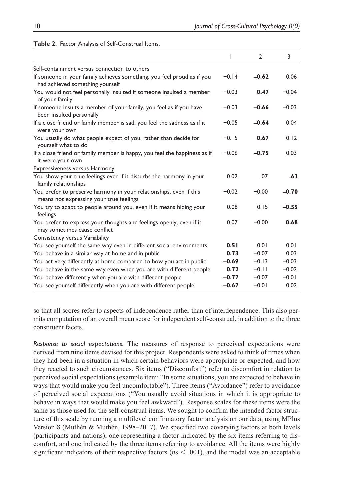| Self-containment versus connection to others<br>If someone in your family achieves something, you feel proud as if you<br>had achieved something yourself | ı<br>$-0.14$<br>$-0.03$ | $\overline{2}$<br>$-0.62$<br>0.47 | 3<br>0.06 |
|-----------------------------------------------------------------------------------------------------------------------------------------------------------|-------------------------|-----------------------------------|-----------|
|                                                                                                                                                           |                         |                                   |           |
|                                                                                                                                                           |                         |                                   |           |
|                                                                                                                                                           |                         |                                   |           |
| You would not feel personally insulted if someone insulted a member<br>of your family                                                                     |                         |                                   | $-0.04$   |
| If someone insults a member of your family, you feel as if you have<br>been insulted personally                                                           | $-0.03$                 | $-0.66$                           | $-0.03$   |
| If a close friend or family member is sad, you feel the sadness as if it<br>were your own                                                                 | $-0.05$                 | $-0.64$                           | 0.04      |
| You usually do what people expect of you, rather than decide for<br>yourself what to do                                                                   | $-0.15$                 | 0.67                              | 0.12      |
| If a close friend or family member is happy, you feel the happiness as if<br>it were your own                                                             | $-0.06$                 | $-0.75$                           | 0.03      |
| <b>Expressiveness versus Harmony</b>                                                                                                                      |                         |                                   |           |
| You show your true feelings even if it disturbs the harmony in your<br>family relationships                                                               | 0.02                    | .07                               | .63       |
| You prefer to preserve harmony in your relationships, even if this<br>means not expressing your true feelings                                             | $-0.02$                 | $-0.00$                           | $-0.70$   |
| You try to adapt to people around you, even if it means hiding your<br>feelings                                                                           | 0.08                    | 0.15                              | $-0.55$   |
| You prefer to express your thoughts and feelings openly, even if it<br>may sometimes cause conflict                                                       | 0.07                    | $-0.00$                           | 0.68      |
| Consistency versus Variability                                                                                                                            |                         |                                   |           |
| You see yourself the same way even in different social environments                                                                                       | 0.51                    | 0.01                              | 0.01      |
| You behave in a similar way at home and in public                                                                                                         | 0.73                    | $-0.07$                           | 0.03      |
| You act very differently at home compared to how you act in public                                                                                        | $-0.69$                 | $-0.13$                           | $-0.03$   |
| You behave in the same way even when you are with different people                                                                                        | 0.72                    | $-0.11$                           | $-0.02$   |
| You behave differently when you are with different people                                                                                                 | $-0.77$                 | $-0.07$                           | $-0.01$   |
| You see yourself differently when you are with different people                                                                                           | $-0.67$                 | $-0.01$                           | 0.02      |

#### **Table 2.** Factor Analysis of Self-Construal Items.

so that all scores refer to aspects of independence rather than of interdependence. This also permits computation of an overall mean score for independent self-construal, in addition to the three constituent facets.

*Response to social expectations.* The measures of response to perceived expectations were derived from nine items devised for this project. Respondents were asked to think of times when they had been in a situation in which certain behaviors were appropriate or expected, and how they reacted to such circumstances. Six items ("Discomfort") refer to discomfort in relation to perceived social expectations (example item: "In some situations, you are expected to behave in ways that would make you feel uncomfortable"). Three items ("Avoidance") refer to avoidance of perceived social expectations ("You usually avoid situations in which it is appropriate to behave in ways that would make you feel awkward"). Response scales for these items were the same as those used for the self-construal items. We sought to confirm the intended factor structure of this scale by running a multilevel confirmatory factor analysis on our data, using MPlus Version 8 (Muthén & Muthén, 1998–2017). We specified two covarying factors at both levels (participants and nations), one representing a factor indicated by the six items referring to discomfort, and one indicated by the three items referring to avoidance. All the items were highly significant indicators of their respective factors ( $p<sub>5</sub> < 0.001$ ), and the model was an acceptable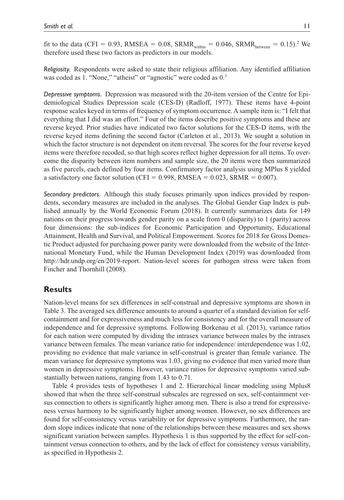fit to the data (CFI = 0.93, RMSEA = 0.08, SRMR<sub>within</sub> = 0.046, SRMR<sub>between</sub> = 0.15).<sup>2</sup> We therefore used these two factors as predictors in our models.

*Religiosity.* Respondents were asked to state their religious affiliation. Any identified affiliation was coded as 1. "None," "atheist" or "agnostic" were coded as  $0<sup>3</sup>$ 

*Depressive symptoms.* Depression was measured with the 20-item version of the Centre for Epidemiological Studies Depression scale (CES-D) (Radloff, 1977). These items have 4-point response scales keyed in terms of frequency of symptom occurrence. A sample item is: "I felt that everything that I did was an effort." Four of the items describe positive symptoms and these are reverse keyed. Prior studies have indicated two factor solutions for the CES-D items, with the reverse keyed items defining the second factor (Carleton et al., 2013). We sought a solution in which the factor structure is not dependent on item reversal. The scores for the four reverse keyed items were therefore recoded, so that high scores reflect higher depression for all items. To overcome the disparity between item numbers and sample size, the 20 items were then summarized as five parcels, each defined by four items. Confirmatory factor analysis using MPlus 8 yielded a satisfactory one factor solution (CFI =  $0.998$ , RMSEA =  $0.023$ , SRMR =  $0.007$ ).

*Secondary predictors.* Although this study focuses primarily upon indices provided by respondents, secondary measures are included in the analyses. The Global Gender Gap Index is published annually by the World Economic Forum (2018). It currently summarizes data for 149 nations on their progress towards gender parity on a scale from 0 (disparity) to 1 (parity) across four dimensions: the sub-indices for Economic Participation and Opportunity, Educational Attainment, Health and Survival, and Political Empowerment. Scores for 2018 for Gross Domestic Product adjusted for purchasing power parity were downloaded from the website of the International Monetary Fund, while the Human Development Index (2019) was downloaded from <http://hdr.undp.org/en/2019-report>. Nation-level scores for pathogen stress were taken from Fincher and Thornhill (2008).

# **Results**

Nation-level means for sex differences in self-construal and depressive symptoms are shown in Table 3. The averaged sex difference amounts to around a quarter of a standard deviation for selfcontainment and for expressiveness and much less for consistency and for the overall measure of independence and for depressive symptoms. Following Borkenau et al. (2013), variance ratios for each nation were computed by dividing the intrasex variance between males by the intrasex variance between females. The mean variance ratio for independence/ interdependence was 1.02, providing no evidence that male variance in self-construal is greater than female variance. The mean variance for depressive symptoms was 1.03, giving no evidence that men varied more than women in depressive symptoms. However, variance ratios for depressive symptoms varied substantially between nations, ranging from 1.43 to 0.71.

Table 4 provides tests of hypotheses 1 and 2. Hierarchical linear modeling using Mplus8 showed that when the three self-construal subscales are regressed on sex, self-containment versus connection to others is significantly higher among men. There is also a trend for expressiveness versus harmony to be significantly higher among women. However, no sex differences are found for self-consistency versus variability or for depressive symptoms. Furthermore, the random slope indices indicate that none of the relationships between these measures and sex shows significant variation between samples. Hypothesis 1 is thus supported by the effect for self-containment versus connection to others, and by the lack of effect for consistency versus variability, as specified in Hypothesis 2.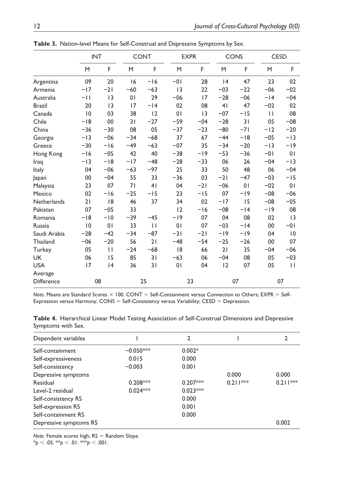|                    | <b>INT</b> |                |       | <b>CONT</b>    | <b>EXPR</b>    |       |       | <b>CONS</b> | <b>CESD</b>  |              |
|--------------------|------------|----------------|-------|----------------|----------------|-------|-------|-------------|--------------|--------------|
|                    | M          | F              | M     | F              | M              | F     | M     | F           | M            | F            |
| Argentina          | 09         | 20             | 16    | $-16$          | $-01$          | 28    | 4     | 47          | 23           | 02           |
| Armenia            | $-17$      | $-21$          | $-60$ | $-63$          | 13             | 22    | $-03$ | $-22$       | $-06$        | $-02$        |
| Australia          | -11        | 3              | 01    | 29             | $-06$          | 17    | $-28$ | $-06$       | $-14$        | $-04$        |
| <b>Brazil</b>      | 20         | 3              | 17    | $-14$          | 02             | 08    | 41    | 47          | $-02$        | 02           |
| Canada             | 0          | 03             | 38    | 12             | 0 <sub>1</sub> | 3     | $-07$ | $-15$       | $\mathbf{H}$ | 08           |
| Chile              | $-18$      | 00             | 31    | $-27$          | $-59$          | $-04$ | $-28$ | 31          | 05           | $-08$        |
| China              | $-36$      | $-30$          | 08    | 05             | $-37$          | $-23$ | $-80$ | $-71$       | $-12$        | $-20$        |
| Georgia            | $-13$      | $-06$          | $-34$ | $-68$          | 37             | 67    | $-44$ | $-18$       | $-05$        | $-13$        |
| Greece             | $-30$      | $-16$          | $-49$ | $-63$          | $-07$          | 35    | $-34$ | $-20$       | $-13$        | $-19$        |
| Hong Kong          | $-16$      | $-05$          | 42    | 40             | $-38$          | $-19$ | $-53$ | $-36$       | $-01$        | 01           |
| Iraq               | $-13$      | $-18$          | $-17$ | $-48$          | $-28$          | $-33$ | 06    | 26          | $-04$        | $-13$        |
| Italy              | 04         | $-06$          | $-63$ | $-97$          | 25             | 33    | 50    | 48          | 06           | $-04$        |
| <b>Japan</b>       | 00         | $-04$          | 55    | 33             | $-36$          | 03    | $-21$ | $-47$       | $-03$        | $-15$        |
| Malaysia           | 23         | 07             | 71    | 4 <sub>1</sub> | 04             | $-21$ | $-06$ | 01          | $-02$        | 01           |
| Mexico             | 02         | $-16$          | $-25$ | $-15$          | 23             | $-15$ | 07    | $-19$       | $-08$        | $-06$        |
| <b>Netherlands</b> | 21         | 8              | 46    | 37             | 34             | 02    | $-17$ | 15          | $-08$        | $-05$        |
| Pakistan           | 07         | $-05$          | 33    |                | 12             | $-16$ | $-08$ | $-14$       | $-19$        | 08           |
| Romania            | $-18$      | $-10$          | $-39$ | $-45$          | $-19$          | 07    | 04    | 08          | 02           | 13           |
| Russia             | 10         | 0 <sub>1</sub> | 33    | $\mathbf{H}$   | 01             | 07    | $-03$ | $-14$       | 00           | $-01$        |
| Saudi Arabia       | $-28$      | $-42$          | $-34$ | $-87$          | $-31$          | $-21$ | $-19$ | $-19$       | 04           | 10           |
| Thailand           | $-06$      | $-20$          | 56    | 21             | $-48$          | $-54$ | $-25$ | $-26$       | 00           | 07           |
| Turkey             | 05         | $\mathbf{H}$   | $-24$ | $-68$          | 8              | 66    | 21    | 35          | $-04$        | $-06$        |
| <b>UK</b>          | 06         | 15             | 85    | 31             | $-63$          | 06    | $-04$ | 08          | 05           | $-03$        |
| <b>USA</b>         | 17         | 4              | 36    | 31             | 0 <sub>1</sub> | 04    | 12    | 07          | 05           | $\mathbf{H}$ |
| Average            |            |                |       |                |                |       |       |             |              |              |
| Difference         |            | 08             |       | 25             |                | 23    |       | 07          |              | 07           |

**Table 3.** Nation-level Means for Self-Construal and Depressive Symptoms by Sex.

*Note*. Means are Standard Scores × 100. CONT = Self-Containment versus Connection to Others; EXPR = Self-Expression versus Harmony; CONS = Self-Consistency versus Variability; CESD = Depression.

| Table 4. Hierarchical Linear Model Testing Association of Self-Construal Dimensions and Depressive |  |  |  |
|----------------------------------------------------------------------------------------------------|--|--|--|
| Symptoms with Sex.                                                                                 |  |  |  |

| Dependent variables    |             | $\mathfrak{p}$ |            |            |
|------------------------|-------------|----------------|------------|------------|
| Self-containment       | $-0.050***$ | $0.002*$       |            |            |
| Self-expressiveness    | 0.015       | 0.000          |            |            |
| Self-consistency       | $-0.003$    | 0.001          |            |            |
| Depressive symptoms    |             |                | 0.000      | 0.000      |
| Residual               | $0.208***$  | $0.207***$     | $0.211***$ | $0.211***$ |
| Level-2 residual       | $0.024***$  | $0.023***$     |            |            |
| Self-consistency RS    |             | 0.000          |            |            |
| Self-expression RS     |             | 0.001          |            |            |
| Self-containment RS    |             | 0.000          |            |            |
| Depressive symptoms RS |             |                |            | 0.002      |

*Note*. Female scores high; RS = Random Slope.

 $*_{p}$  < .05.  $*_{p}$  < .01.  $*_{p}$  < .001.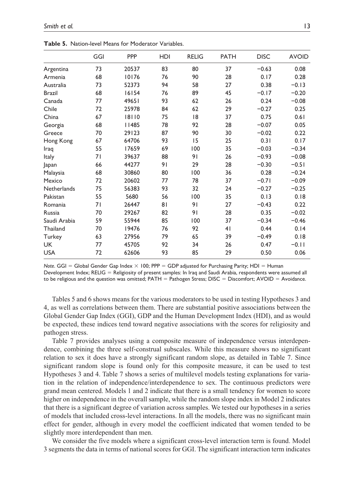|                    | GGI | PPP          | HDI | <b>RELIG</b> | <b>PATH</b>    | <b>DISC</b> | <b>AVOID</b> |
|--------------------|-----|--------------|-----|--------------|----------------|-------------|--------------|
| Argentina          | 73  | 20537        | 83  | 80           | 37             | $-0.63$     | 0.08         |
| Armenia            | 68  | 10176        | 76  | 90           | 28             | 0.17        | 0.28         |
| Australia          | 73  | 52373        | 94  | 58           | 27             | 0.38        | $-0.13$      |
| <b>Brazil</b>      | 68  | 16154        | 76  | 89           | 45             | $-0.17$     | $-0.20$      |
| Canada             | 77  | 49651        | 93  | 62           | 26             | 0.24        | $-0.08$      |
| Chile              | 72  | 25978        | 84  | 62           | 29             | $-0.27$     | 0.25         |
| China              | 67  | 18110        | 75  | 18           | 37             | 0.75        | 0.61         |
| Georgia            | 68  | <b>II485</b> | 78  | 92           | 28             | $-0.07$     | 0.05         |
| Greece             | 70  | 29123        | 87  | 90           | 30             | $-0.02$     | 0.22         |
| Hong Kong          | 67  | 64706        | 93  | 15           | 25             | 0.31        | 0.17         |
| Iraq               | 55  | 17659        | 69  | 100          | 35             | $-0.03$     | $-0.34$      |
| Italy              | 71  | 39637        | 88  | 91           | 26             | $-0.93$     | $-0.08$      |
| Japan              | 66  | 44277        | 91  | 29           | 28             | $-0.30$     | $-0.51$      |
| Malaysia           | 68  | 30860        | 80  | 100          | 36             | 0.28        | $-0.24$      |
| Mexico             | 72  | 20602        | 77  | 78           | 37             | $-0.71$     | $-0.09$      |
| <b>Netherlands</b> | 75  | 56383        | 93  | 32           | 24             | $-0.27$     | $-0.25$      |
| Pakistan           | 55  | 5680         | 56  | 100          | 35             | 0.13        | 0.18         |
| Romania            | 71  | 26447        | 81  | 91           | 27             | $-0.43$     | 0.22         |
| Russia             | 70  | 29267        | 82  | 91           | 28             | 0.35        | $-0.02$      |
| Saudi Arabia       | 59  | 55944        | 85  | 100          | 37             | $-0.34$     | $-0.46$      |
| Thailand           | 70  | 19476        | 76  | 92           | 4 <sub>1</sub> | 0.44        | 0.14         |
| Turkey             | 63  | 27956        | 79  | 65           | 39             | $-0.49$     | 0.18         |
| <b>UK</b>          | 77  | 45705        | 92  | 34           | 26             | 0.47        | $-0.11$      |
| <b>USA</b>         | 72  | 62606        | 93  | 85           | 29             | 0.50        | 0.06         |

**Table 5.** Nation-level Means for Moderator Variables.

*Note*. GGI = Global Gender Gap Index  $\times$  100; PPP = GDP adjusted for Purchasing Parity; HDI = Human

Development Index; RELIG = Religiosity of present samples: In Iraq and Saudi Arabia, respondents were assumed all to be religious and the question was omitted; PATH = Pathogen Stress; DISC = Discomfort; AVOID = Avoidance.

Tables 5 and 6 shows means for the various moderators to be used in testing Hypotheses 3 and 4, as well as correlations between them. There are substantial positive associations between the Global Gender Gap Index (GGI), GDP and the Human Development Index (HDI), and as would be expected, these indices tend toward negative associations with the scores for religiosity and pathogen stress.

Table 7 provides analyses using a composite measure of independence versus interdependence, combining the three self-construal subscales. While this measure shows no significant relation to sex it does have a strongly significant random slope, as detailed in Table 7. Since significant random slope is found only for this composite measure, it can be used to test Hypotheses 3 and 4. Table 7 shows a series of multilevel models testing explanations for variation in the relation of independence/interdependence to sex. The continuous predictors were grand mean centered. Models 1 and 2 indicate that there is a small tendency for women to score higher on independence in the overall sample, while the random slope index in Model 2 indicates that there is a significant degree of variation across samples. We tested our hypotheses in a series of models that included cross-level interactions. In all the models, there was no significant main effect for gender, although in every model the coefficient indicated that women tended to be slightly more interdependent than men.

We consider the five models where a significant cross-level interaction term is found. Model 3 segments the data in terms of national scores for GGI. The significant interaction term indicates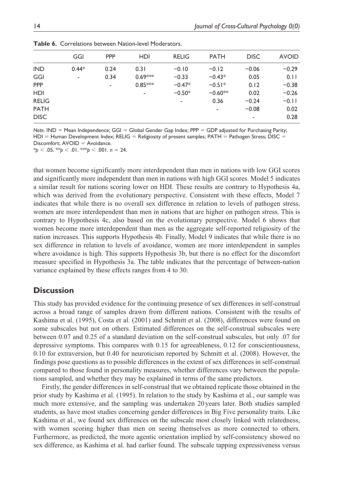|              | GGI     | <b>PPP</b> | HDI       | <b>RELIG</b> | <b>PATH</b> | <b>DISC</b> | <b>AVOID</b> |
|--------------|---------|------------|-----------|--------------|-------------|-------------|--------------|
| <b>IND</b>   | $0.44*$ | 0.24       | 0.31      | $-0.10$      | $-0.12$     | $-0.06$     | $-0.29$      |
| GGI          | ٠       | 0.34       | $0.69***$ | $-0.33$      | $-0.43*$    | 0.05        | 0.11         |
| <b>PPP</b>   |         | ٠          | $0.85***$ | $-0.47*$     | $-0.51*$    | 0.12        | $-0.38$      |
| <b>HDI</b>   |         |            | ٠         | $-0.50*$     | $-0.60**$   | 0.02        | $-0.26$      |
| <b>RELIG</b> |         |            |           | ۰            | 0.36        | $-0.24$     | $-0.11$      |
| <b>PATH</b>  |         |            |           |              | ٠           | $-0.08$     | 0.02         |
| <b>DISC</b>  |         |            |           |              |             | ۰           | 0.28         |
|              |         |            |           |              |             |             |              |

**Table 6.** Correlations between Nation-level Moderators.

*Note*. IND = Mean Independence; GGI = Global Gender Gap Index; PPP = GDP adjusted for Purchasing Parity;  $HDI = Human Development Index$ ; RELIG = Religiosity of present samples; PATH = Pathogen Stress; DISC = Discomfort; AVOID = Avoidance. \**p* < .05. \*\**p* < .01. \*\*\**p* < .001. *n* = 24.

that women become significantly more interdependent than men in nations with low GGI scores and significantly more independent than men in nations with high GGI scores. Model 5 indicates a similar result for nations scoring lower on HDI. These results are contrary to Hypothesis 4a, which was derived from the evolutionary perspective. Consistent with these effects, Model 7 indicates that while there is no overall sex difference in relation to levels of pathogen stress, women are more interdependent than men in nations that are higher on pathogen stress. This is contrary to Hypothesis 4c, also based on the evolutionary perspective. Model 6 shows that women become more interdependent than men as the aggregate self-reported religiosity of the nation increases. This supports Hypothesis 4b. Finally, Model 9 indicates that while there is no sex difference in relation to levels of avoidance, women are more interdependent in samples where avoidance is high. This supports Hypothesis 3b, but there is no effect for the discomfort measure specified in Hypothesis 3a. The table indicates that the percentage of between-nation variance explained by these effects ranges from 4 to 30.

# **Discussion**

This study has provided evidence for the continuing presence of sex differences in self-construal across a broad range of samples drawn from different nations. Consistent with the results of Kashima et al. (1995), Costa et al. (2001) and Schmitt et al. (2008), differences were found on some subscales but not on others. Estimated differences on the self-construal subscales were between 0.07 and 0.25 of a standard deviation on the self-construal subscales, but only .07 for depressive symptoms. This compares with 0.15 for agreeableness, 0.12 for conscientiousness, 0.10 for extraversion, but 0.40 for neuroticism reported by Schmitt et al. (2008). However, the findings pose questions as to possible differences in the extent of sex differences in self-construal compared to those found in personality measures, whether differences vary between the populations sampled, and whether they may be explained in terms of the same predictors.

Firstly, the gender differences in self-construal that we obtained replicate those obtained in the prior study by Kashima et al. (1995). In relation to the study by Kashima et al., our sample was much more extensive, and the sampling was undertaken 20 years later. Both studies sampled students, as have most studies concerning gender differences in Big Five personality traits. Like Kashima et al., we found sex differences on the subscale most closely linked with relatedness, with women scoring higher than men on seeing themselves as more connected to others. Furthermore, as predicted, the more agentic orientation implied by self-consistency showed no sex difference, as Kashima et al. had earlier found. The subscale tapping expressiveness versus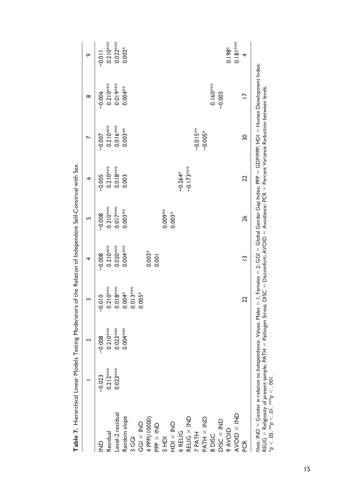|                                                                                                                                                                                                                                                                                                                                                            |            |            |            | 4           | Б          | ◡           |                 | ∞                        | ò          |
|------------------------------------------------------------------------------------------------------------------------------------------------------------------------------------------------------------------------------------------------------------------------------------------------------------------------------------------------------------|------------|------------|------------|-------------|------------|-------------|-----------------|--------------------------|------------|
| $\frac{1}{2}$                                                                                                                                                                                                                                                                                                                                              | $-0.023$   | $-0.008$   | $-0.010$   | $-0.008$    | $-0.008$   | $-0.005$    | $-0.007$        | $-0.006$                 | $-0.01$    |
| Residual                                                                                                                                                                                                                                                                                                                                                   | $0.212***$ | $0.210***$ | $0.210***$ | $0.210***$  | $0.210***$ | $0.210***$  | $0.210***$      | $0.210***$               | $0.210***$ |
| Level-2 residual                                                                                                                                                                                                                                                                                                                                           | $0.023***$ | $0.023***$ | $0.018***$ | $0.020**$   | $0.017***$ | $0.018***$  | $0.016***$      | 0.019***                 | $0.022***$ |
| Random slope                                                                                                                                                                                                                                                                                                                                               |            | $0.004***$ | 0.004*     | $0.004***$  | $0.003**$  | 0.003       | $0.003**$       | 0.004 ***                | $0.002*$   |
| 3 GGI                                                                                                                                                                                                                                                                                                                                                      |            |            | $0.013***$ |             |            |             |                 |                          |            |
| $\mathsf{GGI} \times \mathsf{IND}$                                                                                                                                                                                                                                                                                                                         |            |            | $0.005*$   |             |            |             |                 |                          |            |
| 4 PPP(/10000)                                                                                                                                                                                                                                                                                                                                              |            |            |            | $0.003*$    |            |             |                 |                          |            |
| $PP \times IND$                                                                                                                                                                                                                                                                                                                                            |            |            |            | 0.001       |            |             |                 |                          |            |
| SHDI                                                                                                                                                                                                                                                                                                                                                       |            |            |            |             | 0.00%      |             |                 |                          |            |
| UDI X IND                                                                                                                                                                                                                                                                                                                                                  |            |            |            |             | $0.003*$   |             |                 |                          |            |
| 6 RELIG                                                                                                                                                                                                                                                                                                                                                    |            |            |            |             |            | $-0.264*$   |                 |                          |            |
| RELIG X IND                                                                                                                                                                                                                                                                                                                                                |            |            |            |             |            | $-0.173***$ |                 |                          |            |
|                                                                                                                                                                                                                                                                                                                                                            |            |            |            |             |            |             | $-0.015**$      |                          |            |
| 7 PATH<br>PATH X IND                                                                                                                                                                                                                                                                                                                                       |            |            |            |             |            |             | $-0.005*$       |                          |            |
| 8 DISC                                                                                                                                                                                                                                                                                                                                                     |            |            |            |             |            |             |                 | $0.160***$               |            |
| $DISC \times IND$                                                                                                                                                                                                                                                                                                                                          |            |            |            |             |            |             |                 | $-0.005$                 |            |
| <b>OID NA 6</b>                                                                                                                                                                                                                                                                                                                                            |            |            |            |             |            |             |                 |                          | $0.198*$   |
| AVOID X IND                                                                                                                                                                                                                                                                                                                                                |            |            |            |             |            |             |                 |                          | $0.181***$ |
| PCR<br>C                                                                                                                                                                                                                                                                                                                                                   |            |            | 22         | $\tilde{ }$ | 26         | 22          | $\overline{30}$ | $\overline{\phantom{0}}$ | 4          |
| Note. IND = Gender in relation to Independence. Values: Males = 1, Females = 2; GGI = Global Gender Gap Index; PPP = GDP/PPP; HDI = Human Development Index;<br>RELIG = Religiosity of present sample; PATH = Pathogen Stress; DISC = Discomfort; AVOID = Avoidance; PCR = Percent Variance Reduction between levels.<br>*p < .05. **p < .01. ***p < .001. |            |            |            |             |            |             |                 |                          |            |

Table 7. Hierarchical Linear Models Testing Moderators of the Relation of Independent Self-Construal with Sex. **Table 7.** Hierarchical Linear Models Testing Moderators of the Relation of Independent Self-Construal with Sex.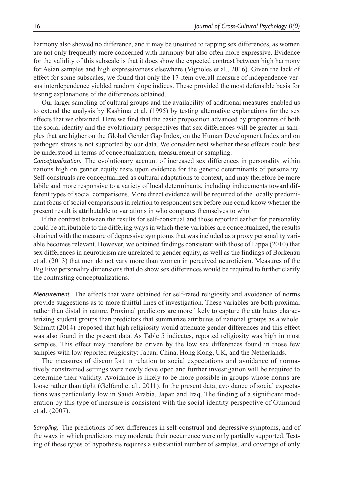harmony also showed no difference, and it may be unsuited to tapping sex differences, as women are not only frequently more concerned with harmony but also often more expressive. Evidence for the validity of this subscale is that it does show the expected contrast between high harmony for Asian samples and high expressiveness elsewhere (Vignoles et al., 2016). Given the lack of effect for some subscales, we found that only the 17-item overall measure of independence versus interdependence yielded random slope indices. These provided the most defensible basis for testing explanations of the differences obtained.

Our larger sampling of cultural groups and the availability of additional measures enabled us to extend the analysis by Kashima et al. (1995) by testing alternative explanations for the sex effects that we obtained. Here we find that the basic proposition advanced by proponents of both the social identity and the evolutionary perspectives that sex differences will be greater in samples that are higher on the Global Gender Gap Index, on the Human Development Index and on pathogen stress is not supported by our data. We consider next whether these effects could best be understood in terms of conceptualization, measurement or sampling.

*Conceptualization.* The evolutionary account of increased sex differences in personality within nations high on gender equity rests upon evidence for the genetic determinants of personality. Self-construals are conceptualized as cultural adaptations to context, and may therefore be more labile and more responsive to a variety of local determinants, including inducements toward different types of social comparisons. More direct evidence will be required of the locally predominant focus of social comparisons in relation to respondent sex before one could know whether the present result is attributable to variations in who compares themselves to who.

If the contrast between the results for self-construal and those reported earlier for personality could be attributable to the differing ways in which these variables are conceptualized, the results obtained with the measure of depressive symptoms that was included as a proxy personality variable becomes relevant. However, we obtained findings consistent with those of Lippa (2010) that sex differences in neuroticism are unrelated to gender equity, as well as the findings of Borkenau et al. (2013) that men do not vary more than women in perceived neuroticism. Measures of the Big Five personality dimensions that do show sex differences would be required to further clarify the contrasting conceptualizations.

*Measurement.* The effects that were obtained for self-rated religiosity and avoidance of norms provide suggestions as to more fruitful lines of investigation. These variables are both proximal rather than distal in nature. Proximal predictors are more likely to capture the attributes characterizing student groups than predictors that summarize attributes of national groups as a whole. Schmitt (2014) proposed that high religiosity would attenuate gender differences and this effect was also found in the present data. As Table 5 indicates, reported religiosity was high in most samples. This effect may therefore be driven by the low sex differences found in those few samples with low reported religiosity: Japan, China, Hong Kong, UK, and the Netherlands.

The measures of discomfort in relation to social expectations and avoidance of normatively constrained settings were newly developed and further investigation will be required to determine their validity. Avoidance is likely to be more possible in groups whose norms are loose rather than tight (Gelfand et al., 2011). In the present data, avoidance of social expectations was particularly low in Saudi Arabia, Japan and Iraq. The finding of a significant moderation by this type of measure is consistent with the social identity perspective of Guimond et al. (2007).

*Sampling.* The predictions of sex differences in self-construal and depressive symptoms, and of the ways in which predictors may moderate their occurrence were only partially supported. Testing of these types of hypothesis requires a substantial number of samples, and coverage of only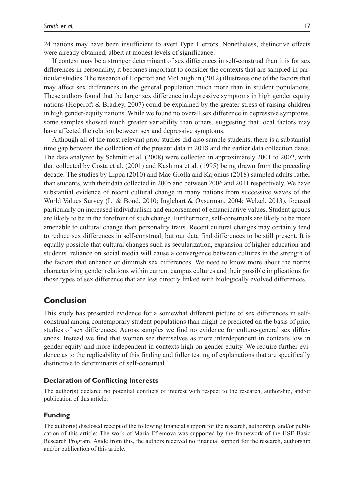24 nations may have been insufficient to avert Type 1 errors. Nonetheless, distinctive effects were already obtained, albeit at modest levels of significance.

If context may be a stronger determinant of sex differences in self-construal than it is for sex differences in personality, it becomes important to consider the contexts that are sampled in particular studies. The research of Hopcroft and McLaughlin (2012) illustrates one of the factors that may affect sex differences in the general population much more than in student populations. These authors found that the larger sex difference in depressive symptoms in high gender equity nations (Hopcroft & Bradley, 2007) could be explained by the greater stress of raising children in high gender-equity nations. While we found no overall sex difference in depressive symptoms, some samples showed much greater variability than others, suggesting that local factors may have affected the relation between sex and depressive symptoms.

Although all of the most relevant prior studies did also sample students, there is a substantial time gap between the collection of the present data in 2018 and the earlier data collection dates. The data analyzed by Schmitt et al. (2008) were collected in approximately 2001 to 2002, with that collected by Costa et al. (2001) and Kashima et al. (1995) being drawn from the preceding decade. The studies by Lippa (2010) and Mac Giolla and Kajonius (2018) sampled adults rather than students, with their data collected in 2005 and between 2006 and 2011 respectively. We have substantial evidence of recent cultural change in many nations from successive waves of the World Values Survey (Li & Bond, 2010; Inglehart & Oyserman, 2004; Welzel, 2013), focused particularly on increased individualism and endorsement of emancipative values. Student groups are likely to be in the forefront of such change. Furthermore, self-construals are likely to be more amenable to cultural change than personality traits. Recent cultural changes may certainly tend to reduce sex differences in self-construal, but our data find differences to be still present. It is equally possible that cultural changes such as secularization, expansion of higher education and students' reliance on social media will cause a convergence between cultures in the strength of the factors that enhance or diminish sex differences. We need to know more about the norms characterizing gender relations within current campus cultures and their possible implications for those types of sex difference that are less directly linked with biologically evolved differences.

#### **Conclusion**

This study has presented evidence for a somewhat different picture of sex differences in selfconstrual among contemporary student populations than might be predicted on the basis of prior studies of sex differences. Across samples we find no evidence for culture-general sex differences. Instead we find that women see themselves as more interdependent in contexts low in gender equity and more independent in contexts high on gender equity. We require further evidence as to the replicability of this finding and fuller testing of explanations that are specifically distinctive to determinants of self-construal.

#### **Declaration of Conflicting Interests**

The author(s) declared no potential conflicts of interest with respect to the research, authorship, and/or publication of this article.

#### **Funding**

The author(s) disclosed receipt of the following financial support for the research, authorship, and/or publication of this article: The work of Maria Efremova was supported by the framework of the HSE Basic Research Program. Aside from this, the authors received no financial support for the research, authorship and/or publication of this article.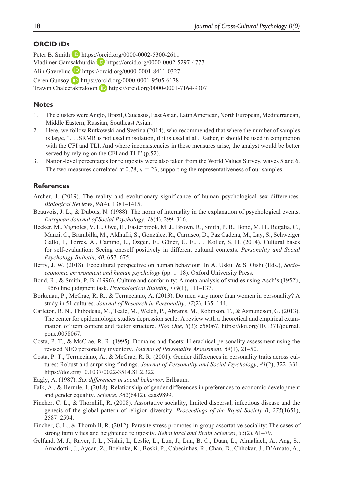## **ORCID iDs**

Peter B. Smith D <https://orcid.org/0000-0002-5300-2611> Vladimer Gamsakhurdia D <https://orcid.org/0000-0002-5297-4777> Alin Gavreliuc **<https://orcid.org/0000-0001-8411-0327>** Ceren Gunsoy **D** <https://orcid.org/0000-0001-9505-6178> Trawin Chaleeraktrakoon D <https://orcid.org/0000-0001-7164-9307>

#### **Notes**

- 1. The clusters were Anglo, Brazil, Caucasus, East Asian, Latin American, North European, Mediterranean, Middle Eastern, Russian, Southeast Asian.
- 2. Here, we follow Rutkowski and Svetina (2014), who recommended that where the number of samples is large, ". . .SRMR is not used in isolation, if it is used at all. Rather, it should be used in conjunction with the CFI and TLI. And where inconsistencies in these measures arise, the analyst would be better served by relying on the CFI and TLI" (p.52).
- 3. Nation-level percentages for religiosity were also taken from the World Values Survey, waves 5 and 6. The two measures correlated at  $0.78$ ,  $n = 23$ , supporting the representativeness of our samples.

### **References**

- Archer, J. (2019). The reality and evolutionary significance of human psychological sex differences. *Biological Review*s, *94*(4), 1381–1415.
- Beauvois, J. L., & Dubois, N. (1988). The norm of internality in the explanation of psychological events. *European Journal of Social Psychology*, *18*(4), 299–316.
- Becker, M., Vignoles, V. L., Owe, E., Easterbrook, M. J., Brown, R., Smith, P. B., Bond, M. H., Regalia, C., Manzi, C., Brambilla, M., Aldhafri, S., González, R., Carrasco, D., Paz Cadena, M., Lay, S., Schweiger Gallo, I., Torres, A., Camino, L., Özgen, E., Güner, Ü. E., . . .Koller, S. H. (2014). Cultural bases for self-evaluation: Seeing oneself positively in different cultural contexts. *Personality and Social Psychology Bulletin*, *40*, 657–675.
- Berry, J. W. (2018). Ecocultural perspective on human behaviour. In A. Uskul & S. Oishi (Eds.), *Socioeconomic environment and human psychology* (pp. 1–18). Oxford University Press.
- Bond, R., & Smith, P. B. (1996). Culture and conformity: A meta-analysis of studies using Asch's (1952b, 1956) line judgment task. *Psychological Bulletin*, *119*(1), 111–137.
- Borkenau, P., McCrae, R. R., & Terracciano, A. (2013). Do men vary more than women in personality? A study in 51 cultures. *Journal of Research in Personality*, *47*(2), 135–144.
- Carleton, R. N., Thibodeau, M., Teale, M., Welch, P., Abrams, M., Robinson, T., & Asmundson, G. (2013). The center for epidemiologic studies depression scale: A review with a theoretical and empirical examination of item content and factor structure. *Plos One*, *8*(3): e58067. [https://doi.org/10.1371/journal.](https://doi.org/10.1371/journal.pone.0058067) [pone.0058067](https://doi.org/10.1371/journal.pone.0058067).
- Costa, P. T., & McCrae, R. R. (1995). Domains and facets: Hierachical personality assessment using the revised NEO personality inventory. *Journal of Personality Assessment*, *64*(1), 21–50.
- Costa, P. T., Terracciano, A., & McCrae, R. R. (2001). Gender differences in personality traits across cultures: Robust and surprising findings. *Journal of Personality and Social Psychology*, *81*(2), 322–331. <https://doi.org/10.1037/0022-3514.81.2.322>
- Eagly, A. (1987). *Sex differences in social behavior*. Erlbaum.
- Falk, A., & Hermle, J. (2018). Relationship of gender differences in preferences to economic development and gender equality. *Science*, *362*(6412), eaas9899.
- Fincher, C. L., & Thornhill, R. (2008). Assortative sociality, limited dispersal, infectious disease and the genesis of the global pattern of religion diversity. *Proceedings of the Royal Society B*, *275*(1651), 2587–2594.
- Fincher, C. L., & Thornhill, R. (2012). Parasite stress promotes in-group assortative sociality: The cases of strong family ties and heightened religiosity. *Behavioral and Brain Sciences*, *35*(2), 61–79.
- Gelfand, M. J., Raver, J. L., Nishii, L, Leslie, L., Lun, J., Lun, B. C., Duan, L., Almaliach, A., Ang, S., Arnadottir, J., Aycan, Z., Boehnke, K., Boski, P., Cabecinhas, R., Chan, D., Chhokar, J., D'Amato, A.,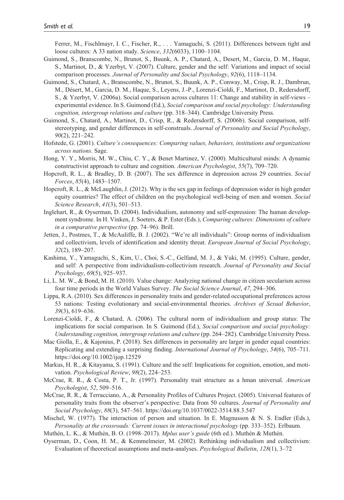Ferrer, M., Fischlmayr, I. C., Fischer, R., . . . Yamaguchi, S. (2011). Differences between tight and loose cultures: A 33 nation study. *Science*, *332*(6033), 1100–1104.

- Guimond, S., Branscombe, N., Brunot, S., Buunk, A. P., Chatard, A., Desert, M., Garcia, D. M., Haque, S., Martinot, D., & Yzerbyt, V. (2007). Culture, gender and the self: Variations and impact of social comparison processes. *Journal of Personality and Social Psychology*, *92*(6), 1118–1134.
- Guimond, S., Chatard, A., Branscombe, N., Brunot, S., Buunk, A. P., Conway, M., Crisp, R. J., Dambrun, M., Désert, M., Garcia, D. M., Haque, S., Leyens, J.-P., Lorenzi-Cioldi, F., Martinot, D., Redersdorff, S., & Yzerbyt, V. (2006a). Social comparison across cultures 11: Change and stability in self-views – experimental evidence. In S. Guimond (Ed.), *Social comparison and social psychology: Understanding cognition, intergroup relations and culture* (pp. 318–344). Cambridge University Press.
- Guimond, S., Chatard, A., Martinot, D., Crisp, R., & Redersdorff, S. (2006b). Social comparison, selfstereotyping, and gender differences in self-construals. *Journal of Personality and Social Psychology*, *90*(2), 221–242.
- Hofstede, G. (2001). *Culture's consequences: Comparing values, behaviors, institutions and organizations across nations*. Sage.
- Hong, Y. Y., Morris, M. W., Chiu, C. Y., & Benet Martinez, V. (2000). Multicultural minds: A dynamic constructivist approach to culture and cognition. *American Psychologist*, *55*(7), 709–720.
- Hopcroft, R. L., & Bradley, D. B. (2007). The sex difference in depression across 29 countries. *Social Forces*, *85*(4), 1483–1507.
- Hopcroft, R. L., & McLaughlin, J. (2012). Why is the sex gap in feelings of depression wider in high gender equity countries? The effect of children on the psychological well-being of men and women. *Social Science Research*, *41*(3), 501–513.
- Inglehart, R., & Oyserman, D. (2004). Individualism, autonomy and self-expression: The human development syndrome. In H. Vinken, J. Soeters, & P. Ester (Eds.), *Comparing cultures: Dimensions of culture in a comparative perspective* (pp. 74–96). Brill.
- Jetten, J., Postmes, T., & McAuliffe, B. J. (2002). "We're all individuals": Group norms of individualism and collectivism, levels of identification and identity threat. *European Journal of Social Psychology*, *32*(2), 189–207.
- Kashima, Y., Yamaguchi, S., Kim, U., Choi, S.-C., Gelfand, M. J., & Yuki, M. (1995). Culture, gender, and self: A perspective from individualism-collectivism research. *Journal of Personality and Social Psychology*, *69*(5), 925–937.
- Li, L. M. W., & Bond, M. H. (2010). Value change: Analyzing national change in citizen secularism across four time periods in the World Values Survey. *The Social Science Journal*, *47*, 294–306.
- Lippa, R.A. (2010). Sex differences in personality traits and gender-related occupational preferences across 53 nations: Testing evolutionary and social-environmental theories. *Archives of Sexual Behavior*, *39*(3), 619–636.
- Lorenzi-Cioldi, F., & Chatard, A. (2006). The cultural norm of individualism and group status: The implications for social comparison. In S. Guimond (Ed.), *Social comparison and social psychology: Understanding cognition, intergroup relations and culture* (pp. 264–282). Cambridge University Press.
- Mac Giolla, E., & Kajonius, P. (2018). Sex differences in personality are larger in gender equal countries: Replicating and extending a surprising finding. *International Journal of Psychology*, *54*(6), 705–711. <https://doi.org/10.1002/ijop.12529>
- Markus, H. R., & Kitayama, S. (1991). Culture and the self: Implications for cognition, emotion, and motivation. *Psychological Review*, *98*(2), 224–253.
- McCrae, R. R., & Costa, P. T., Jr. (1997). Personality trait structure as a hman universal. *American Psychologist*, *52*, 509–516.
- McCrae, R. R., & Terracciano, A., & Personality Profiles of Cultures Project. (2005). Universal features of personality traits from the observer's perspective: Data from 50 cultures. *Journal of Personality and Social Psychology*, *88*(3), 547–561. <https://doi.org/10.1037/0022-3514.88.3.547>
- Mischel, W. (1977). The interaction of person and situation. In E. Magnusson & N. S. Endler (Eds.), *Personality at the crossroads: Current issues in interactional psychology* (pp. 333–352). Erlbaum.
- Muthén, L. K., & Muthén, B. O. (1998–2017). *Mplus user's guide* (6th ed.). Muthén & Muthén.
- Oyserman, D., Coon, H. M., & Kemmelmeier, M. (2002). Rethinking individualism and collectivism: Evaluation of theoretical assumptions and meta-analyses. *Psychological Bulletin*, *128*(1), 3–72